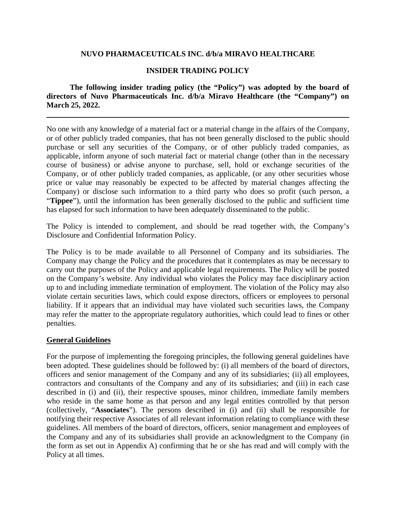### **NUVO PHARMACEUTICALS INC. d/b/a MIRAVO HEALTHCARE**

### **INSIDER TRADING POLICY**

**The following insider trading policy (the "Policy") was adopted by the board of directors of Nuvo Pharmaceuticals Inc. d/b/a Miravo Healthcare (the "Company") on March 25, 2022.**

No one with any knowledge of a material fact or a material change in the affairs of the Company, or of other publicly traded companies, that has not been generally disclosed to the public should purchase or sell any securities of the Company, or of other publicly traded companies, as applicable, inform anyone of such material fact or material change (other than in the necessary course of business) or advise anyone to purchase, sell, hold or exchange securities of the Company, or of other publicly traded companies, as applicable, (or any other securities whose price or value may reasonably be expected to be affected by material changes affecting the Company) or disclose such information to a third party who does so profit (such person, a "**Tippee**"), until the information has been generally disclosed to the public and sufficient time has elapsed for such information to have been adequately disseminated to the public.

The Policy is intended to complement, and should be read together with, the Company's Disclosure and Confidential Information Policy.

The Policy is to be made available to all Personnel of Company and its subsidiaries. The Company may change the Policy and the procedures that it contemplates as may be necessary to carry out the purposes of the Policy and applicable legal requirements. The Policy will be posted on the Company's website. Any individual who violates the Policy may face disciplinary action up to and including immediate termination of employment. The violation of the Policy may also violate certain securities laws, which could expose directors, officers or employees to personal liability. If it appears that an individual may have violated such securities laws, the Company may refer the matter to the appropriate regulatory authorities, which could lead to fines or other penalties.

#### **General Guidelines**

For the purpose of implementing the foregoing principles, the following general guidelines have been adopted. These guidelines should be followed by: (i) all members of the board of directors, officers and senior management of the Company and any of its subsidiaries; (ii) all employees, contractors and consultants of the Company and any of its subsidiaries; and (iii) in each case described in (i) and (ii), their respective spouses, minor children, immediate family members who reside in the same home as that person and any legal entities controlled by that person (collectively, "**Associates**"). The persons described in (i) and (ii) shall be responsible for notifying their respective Associates of all relevant information relating to compliance with these guidelines. All members of the board of directors, officers, senior management and employees of the Company and any of its subsidiaries shall provide an acknowledgment to the Company (in the form as set out in Appendix A) confirming that he or she has read and will comply with the Policy at all times.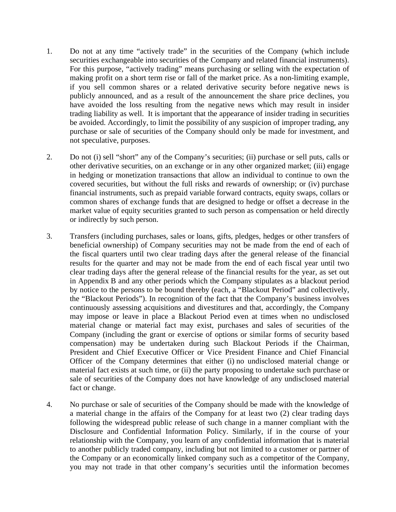- 1. Do not at any time "actively trade" in the securities of the Company (which include securities exchangeable into securities of the Company and related financial instruments). For this purpose, "actively trading" means purchasing or selling with the expectation of making profit on a short term rise or fall of the market price. As a non-limiting example, if you sell common shares or a related derivative security before negative news is publicly announced, and as a result of the announcement the share price declines, you have avoided the loss resulting from the negative news which may result in insider trading liability as well. It is important that the appearance of insider trading in securities be avoided. Accordingly, to limit the possibility of any suspicion of improper trading, any purchase or sale of securities of the Company should only be made for investment, and not speculative, purposes.
- 2. Do not (i) sell "short" any of the Company's securities; (ii) purchase or sell puts, calls or other derivative securities, on an exchange or in any other organized market; (iii) engage in hedging or monetization transactions that allow an individual to continue to own the covered securities, but without the full risks and rewards of ownership; or (iv) purchase financial instruments, such as prepaid variable forward contracts, equity swaps, collars or common shares of exchange funds that are designed to hedge or offset a decrease in the market value of equity securities granted to such person as compensation or held directly or indirectly by such person.
- 3. Transfers (including purchases, sales or loans, gifts, pledges, hedges or other transfers of beneficial ownership) of Company securities may not be made from the end of each of the fiscal quarters until two clear trading days after the general release of the financial results for the quarter and may not be made from the end of each fiscal year until two clear trading days after the general release of the financial results for the year, as set out in Appendix B and any other periods which the Company stipulates as a blackout period by notice to the persons to be bound thereby (each, a "Blackout Period" and collectively, the "Blackout Periods"). In recognition of the fact that the Company's business involves continuously assessing acquisitions and divestitures and that, accordingly, the Company may impose or leave in place a Blackout Period even at times when no undisclosed material change or material fact may exist, purchases and sales of securities of the Company (including the grant or exercise of options or similar forms of security based compensation) may be undertaken during such Blackout Periods if the Chairman, President and Chief Executive Officer or Vice President Finance and Chief Financial Officer of the Company determines that either (i) no undisclosed material change or material fact exists at such time, or (ii) the party proposing to undertake such purchase or sale of securities of the Company does not have knowledge of any undisclosed material fact or change.
- 4. No purchase or sale of securities of the Company should be made with the knowledge of a material change in the affairs of the Company for at least two (2) clear trading days following the widespread public release of such change in a manner compliant with the Disclosure and Confidential Information Policy. Similarly, if in the course of your relationship with the Company, you learn of any confidential information that is material to another publicly traded company, including but not limited to a customer or partner of the Company or an economically linked company such as a competitor of the Company, you may not trade in that other company's securities until the information becomes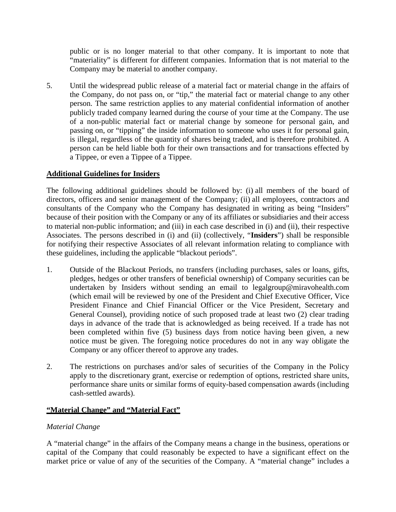public or is no longer material to that other company. It is important to note that "materiality" is different for different companies. Information that is not material to the Company may be material to another company.

5. Until the widespread public release of a material fact or material change in the affairs of the Company, do not pass on, or "tip," the material fact or material change to any other person. The same restriction applies to any material confidential information of another publicly traded company learned during the course of your time at the Company. The use of a non-public material fact or material change by someone for personal gain, and passing on, or "tipping" the inside information to someone who uses it for personal gain, is illegal, regardless of the quantity of shares being traded, and is therefore prohibited. A person can be held liable both for their own transactions and for transactions effected by a Tippee, or even a Tippee of a Tippee.

# **Additional Guidelines for Insiders**

The following additional guidelines should be followed by: (i) all members of the board of directors, officers and senior management of the Company; (ii) all employees, contractors and consultants of the Company who the Company has designated in writing as being "Insiders" because of their position with the Company or any of its affiliates or subsidiaries and their access to material non-public information; and (iii) in each case described in (i) and (ii), their respective Associates. The persons described in (i) and (ii) (collectively, "**Insiders**") shall be responsible for notifying their respective Associates of all relevant information relating to compliance with these guidelines, including the applicable "blackout periods".

- 1. Outside of the Blackout Periods, no transfers (including purchases, sales or loans, gifts, pledges, hedges or other transfers of beneficial ownership) of Company securities can be undertaken by Insiders without sending an email to legalgroup@miravohealth.com (which email will be reviewed by one of the President and Chief Executive Officer, Vice President Finance and Chief Financial Officer or the Vice President, Secretary and General Counsel), providing notice of such proposed trade at least two (2) clear trading days in advance of the trade that is acknowledged as being received. If a trade has not been completed within five (5) business days from notice having been given, a new notice must be given. The foregoing notice procedures do not in any way obligate the Company or any officer thereof to approve any trades.
- 2. The restrictions on purchases and/or sales of securities of the Company in the Policy apply to the discretionary grant, exercise or redemption of options, restricted share units, performance share units or similar forms of equity-based compensation awards (including cash-settled awards).

# **"Material Change" and "Material Fact"**

# *Material Change*

A "material change" in the affairs of the Company means a change in the business, operations or capital of the Company that could reasonably be expected to have a significant effect on the market price or value of any of the securities of the Company. A "material change" includes a